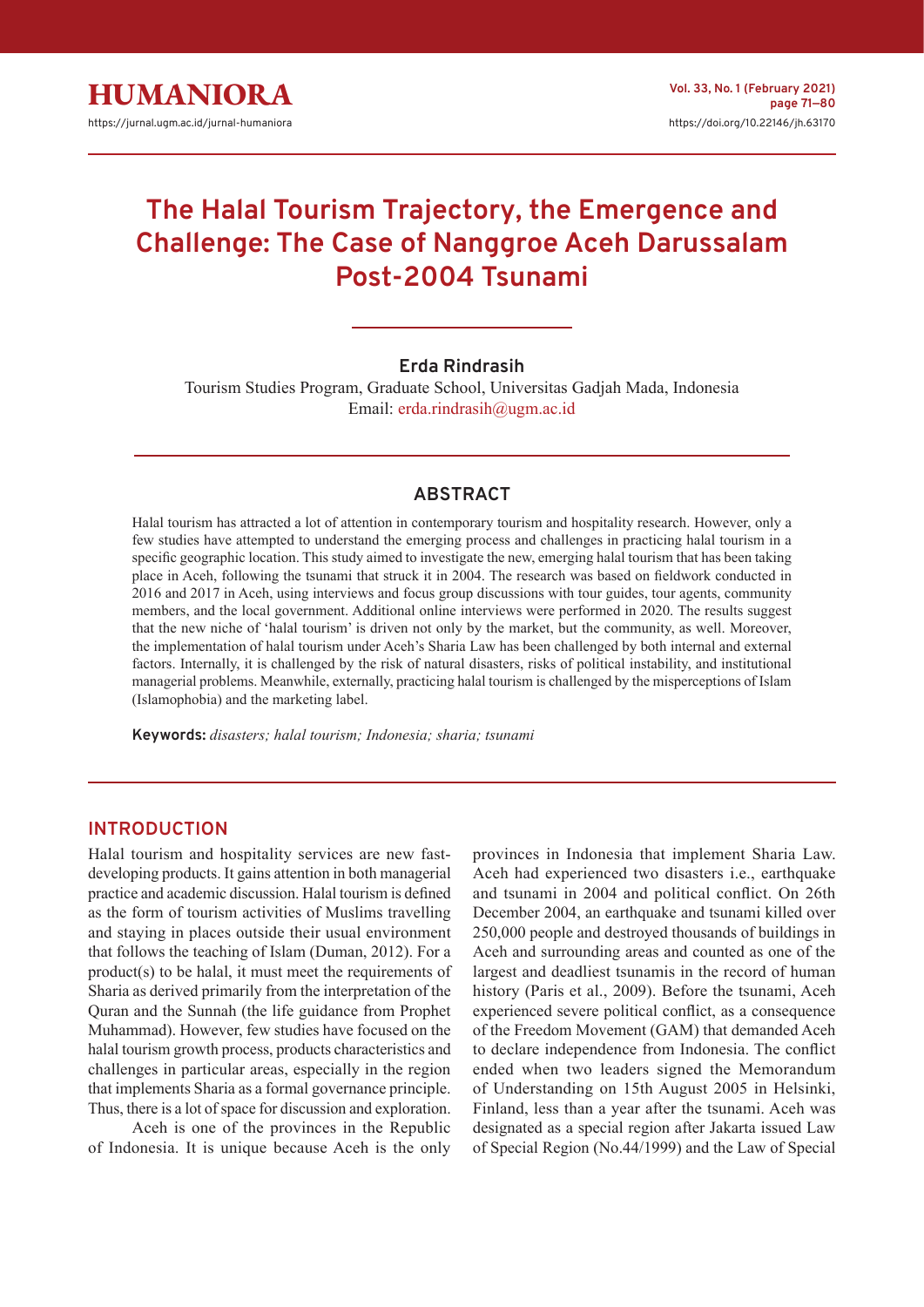# **The Halal Tourism Trajectory, the Emergence and Challenge: The Case of Nanggroe Aceh Darussalam Post-2004 Tsunami**

# **Erda Rindrasih**

Tourism Studies Program, Graduate School, Universitas Gadjah Mada, Indonesia Email: [erda.rindrasih@ugm.ac.id](mailto:erda.rindrasih%40ugm.ac.id?subject=)

## **ABSTRACT**

Halal tourism has attracted a lot of attention in contemporary tourism and hospitality research. However, only a few studies have attempted to understand the emerging process and challenges in practicing halal tourism in a specific geographic location. This study aimed to investigate the new, emerging halal tourism that has been taking place in Aceh, following the tsunami that struck it in 2004. The research was based on fieldwork conducted in 2016 and 2017 in Aceh, using interviews and focus group discussions with tour guides, tour agents, community members, and the local government. Additional online interviews were performed in 2020. The results suggest that the new niche of 'halal tourism' is driven not only by the market, but the community, as well. Moreover, the implementation of halal tourism under Aceh's Sharia Law has been challenged by both internal and external factors. Internally, it is challenged by the risk of natural disasters, risks of political instability, and institutional managerial problems. Meanwhile, externally, practicing halal tourism is challenged by the misperceptions of Islam (Islamophobia) and the marketing label.

**Keywords:** *disasters; halal tourism; Indonesia; sharia; tsunami*

## **INTRODUCTION**

Halal tourism and hospitality services are new fastdeveloping products. It gains attention in both managerial practice and academic discussion. Halal tourism is defined as the form of tourism activities of Muslims travelling and staying in places outside their usual environment that follows the teaching of Islam (Duman, 2012). For a product(s) to be halal, it must meet the requirements of Sharia as derived primarily from the interpretation of the Quran and the Sunnah (the life guidance from Prophet Muhammad). However, few studies have focused on the halal tourism growth process, products characteristics and challenges in particular areas, especially in the region that implements Sharia as a formal governance principle. Thus, there is a lot of space for discussion and exploration.

Aceh is one of the provinces in the Republic of Indonesia. It is unique because Aceh is the only provinces in Indonesia that implement Sharia Law. Aceh had experienced two disasters i.e., earthquake and tsunami in 2004 and political conflict. On 26th December 2004, an earthquake and tsunami killed over 250,000 people and destroyed thousands of buildings in Aceh and surrounding areas and counted as one of the largest and deadliest tsunamis in the record of human history (Paris et al., 2009). Before the tsunami, Aceh experienced severe political conflict, as a consequence of the Freedom Movement (GAM) that demanded Aceh to declare independence from Indonesia. The conflict ended when two leaders signed the Memorandum of Understanding on 15th August 2005 in Helsinki, Finland, less than a year after the tsunami. Aceh was designated as a special region after Jakarta issued Law of Special Region (No.44/1999) and the Law of Special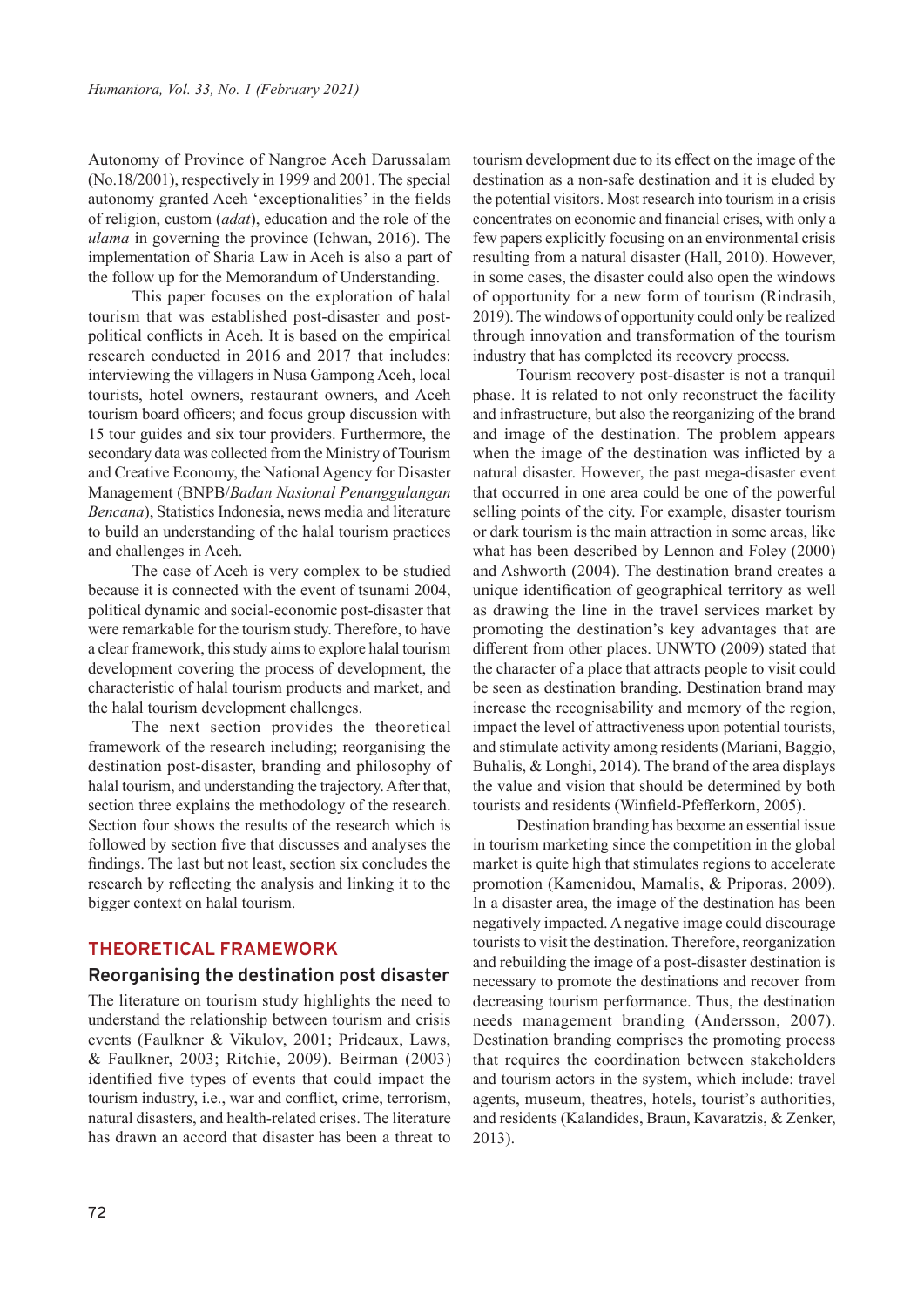Autonomy of Province of Nangroe Aceh Darussalam (No.18/2001), respectively in 1999 and 2001. The special autonomy granted Aceh 'exceptionalities' in the fields of religion, custom (*adat*), education and the role of the *ulama* in governing the province (Ichwan, 2016). The implementation of Sharia Law in Aceh is also a part of the follow up for the Memorandum of Understanding.

This paper focuses on the exploration of halal tourism that was established post-disaster and postpolitical conflicts in Aceh. It is based on the empirical research conducted in 2016 and 2017 that includes: interviewing the villagers in Nusa Gampong Aceh, local tourists, hotel owners, restaurant owners, and Aceh tourism board officers; and focus group discussion with 15 tour guides and six tour providers. Furthermore, the secondary data was collected from the Ministry of Tourism and Creative Economy, the National Agency for Disaster Management (BNPB/*Badan Nasional Penanggulangan Bencana*), Statistics Indonesia, news media and literature to build an understanding of the halal tourism practices and challenges in Aceh.

The case of Aceh is very complex to be studied because it is connected with the event of tsunami 2004, political dynamic and social-economic post-disaster that were remarkable for the tourism study. Therefore, to have a clear framework, this study aims to explore halal tourism development covering the process of development, the characteristic of halal tourism products and market, and the halal tourism development challenges.

The next section provides the theoretical framework of the research including; reorganising the destination post-disaster, branding and philosophy of halal tourism, and understanding the trajectory. After that, section three explains the methodology of the research. Section four shows the results of the research which is followed by section five that discusses and analyses the findings. The last but not least, section six concludes the research by reflecting the analysis and linking it to the bigger context on halal tourism.

# **THEORETICAL FRAMEWORK**

#### **Reorganising the destination post disaster**

The literature on tourism study highlights the need to understand the relationship between tourism and crisis events (Faulkner & Vikulov, 2001; Prideaux, Laws, & Faulkner, 2003; Ritchie, 2009). Beirman (2003) identified five types of events that could impact the tourism industry, i.e., war and conflict, crime, terrorism, natural disasters, and health-related crises. The literature has drawn an accord that disaster has been a threat to

tourism development due to its effect on the image of the destination as a non-safe destination and it is eluded by the potential visitors. Most research into tourism in a crisis concentrates on economic and financial crises, with only a few papers explicitly focusing on an environmental crisis resulting from a natural disaster (Hall, 2010). However, in some cases, the disaster could also open the windows of opportunity for a new form of tourism (Rindrasih, 2019). The windows of opportunity could only be realized through innovation and transformation of the tourism industry that has completed its recovery process.

Tourism recovery post-disaster is not a tranquil phase. It is related to not only reconstruct the facility and infrastructure, but also the reorganizing of the brand and image of the destination. The problem appears when the image of the destination was inflicted by a natural disaster. However, the past mega-disaster event that occurred in one area could be one of the powerful selling points of the city. For example, disaster tourism or dark tourism is the main attraction in some areas, like what has been described by Lennon and Foley (2000) and Ashworth (2004). The destination brand creates a unique identification of geographical territory as well as drawing the line in the travel services market by promoting the destination's key advantages that are different from other places. UNWTO (2009) stated that the character of a place that attracts people to visit could be seen as destination branding. Destination brand may increase the recognisability and memory of the region, impact the level of attractiveness upon potential tourists, and stimulate activity among residents (Mariani, Baggio, Buhalis, & Longhi, 2014). The brand of the area displays the value and vision that should be determined by both tourists and residents (Winfield-Pfefferkorn, 2005).

Destination branding has become an essential issue in tourism marketing since the competition in the global market is quite high that stimulates regions to accelerate promotion (Kamenidou, Mamalis, & Priporas, 2009). In a disaster area, the image of the destination has been negatively impacted. A negative image could discourage tourists to visit the destination. Therefore, reorganization and rebuilding the image of a post-disaster destination is necessary to promote the destinations and recover from decreasing tourism performance. Thus, the destination needs management branding (Andersson, 2007). Destination branding comprises the promoting process that requires the coordination between stakeholders and tourism actors in the system, which include: travel agents, museum, theatres, hotels, tourist's authorities, and residents (Kalandides, Braun, Kavaratzis, & Zenker, 2013).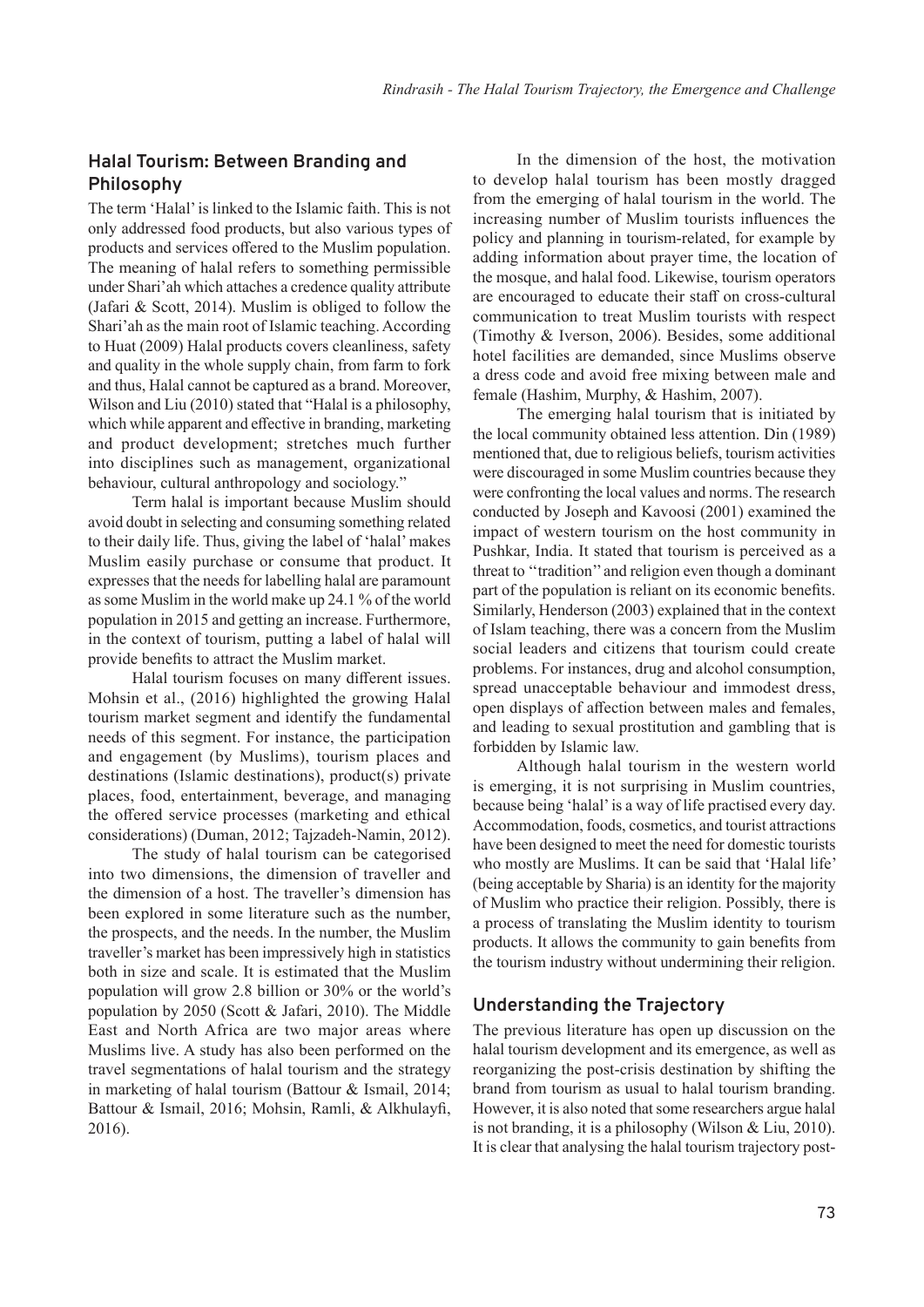# **Halal Tourism: Between Branding and Philosophy**

The term 'Halal' is linked to the Islamic faith. This is not only addressed food products, but also various types of products and services offered to the Muslim population. The meaning of halal refers to something permissible under Shari'ah which attaches a credence quality attribute (Jafari & Scott, 2014). Muslim is obliged to follow the Shari'ah as the main root of Islamic teaching. According to Huat (2009) Halal products covers cleanliness, safety and quality in the whole supply chain, from farm to fork and thus, Halal cannot be captured as a brand. Moreover, Wilson and Liu (2010) stated that "Halal is a philosophy, which while apparent and effective in branding, marketing and product development; stretches much further into disciplines such as management, organizational behaviour, cultural anthropology and sociology."

Term halal is important because Muslim should avoid doubt in selecting and consuming something related to their daily life. Thus, giving the label of 'halal' makes Muslim easily purchase or consume that product. It expresses that the needs for labelling halal are paramount as some Muslim in the world make up 24.1 % of the world population in 2015 and getting an increase. Furthermore, in the context of tourism, putting a label of halal will provide benefits to attract the Muslim market.

Halal tourism focuses on many different issues. Mohsin et al., (2016) highlighted the growing Halal tourism market segment and identify the fundamental needs of this segment. For instance, the participation and engagement (by Muslims), tourism places and destinations (Islamic destinations), product(s) private places, food, entertainment, beverage, and managing the offered service processes (marketing and ethical considerations) (Duman, 2012; Tajzadeh-Namin, 2012).

The study of halal tourism can be categorised into two dimensions, the dimension of traveller and the dimension of a host. The traveller's dimension has been explored in some literature such as the number, the prospects, and the needs. In the number, the Muslim traveller's market has been impressively high in statistics both in size and scale. It is estimated that the Muslim population will grow 2.8 billion or 30% or the world's population by 2050 (Scott & Jafari, 2010). The Middle East and North Africa are two major areas where Muslims live. A study has also been performed on the travel segmentations of halal tourism and the strategy in marketing of halal tourism (Battour & Ismail, 2014; Battour & Ismail, 2016; Mohsin, Ramli, & Alkhulayfi, 2016).

In the dimension of the host, the motivation to develop halal tourism has been mostly dragged from the emerging of halal tourism in the world. The increasing number of Muslim tourists influences the policy and planning in tourism-related, for example by adding information about prayer time, the location of the mosque, and halal food. Likewise, tourism operators are encouraged to educate their staff on cross-cultural communication to treat Muslim tourists with respect (Timothy & Iverson, 2006). Besides, some additional hotel facilities are demanded, since Muslims observe a dress code and avoid free mixing between male and female (Hashim, Murphy, & Hashim, 2007).

The emerging halal tourism that is initiated by the local community obtained less attention. Din (1989) mentioned that, due to religious beliefs, tourism activities were discouraged in some Muslim countries because they were confronting the local values and norms. The research conducted by Joseph and Kavoosi (2001) examined the impact of western tourism on the host community in Pushkar, India. It stated that tourism is perceived as a threat to ''tradition'' and religion even though a dominant part of the population is reliant on its economic benefits. Similarly, Henderson (2003) explained that in the context of Islam teaching, there was a concern from the Muslim social leaders and citizens that tourism could create problems. For instances, drug and alcohol consumption, spread unacceptable behaviour and immodest dress, open displays of affection between males and females, and leading to sexual prostitution and gambling that is forbidden by Islamic law.

Although halal tourism in the western world is emerging, it is not surprising in Muslim countries, because being 'halal' is a way of life practised every day. Accommodation, foods, cosmetics, and tourist attractions have been designed to meet the need for domestic tourists who mostly are Muslims. It can be said that 'Halal life' (being acceptable by Sharia) is an identity for the majority of Muslim who practice their religion. Possibly, there is a process of translating the Muslim identity to tourism products. It allows the community to gain benefits from the tourism industry without undermining their religion.

# **Understanding the Trajectory**

The previous literature has open up discussion on the halal tourism development and its emergence, as well as reorganizing the post-crisis destination by shifting the brand from tourism as usual to halal tourism branding. However, it is also noted that some researchers argue halal is not branding, it is a philosophy (Wilson & Liu, 2010). It is clear that analysing the halal tourism trajectory post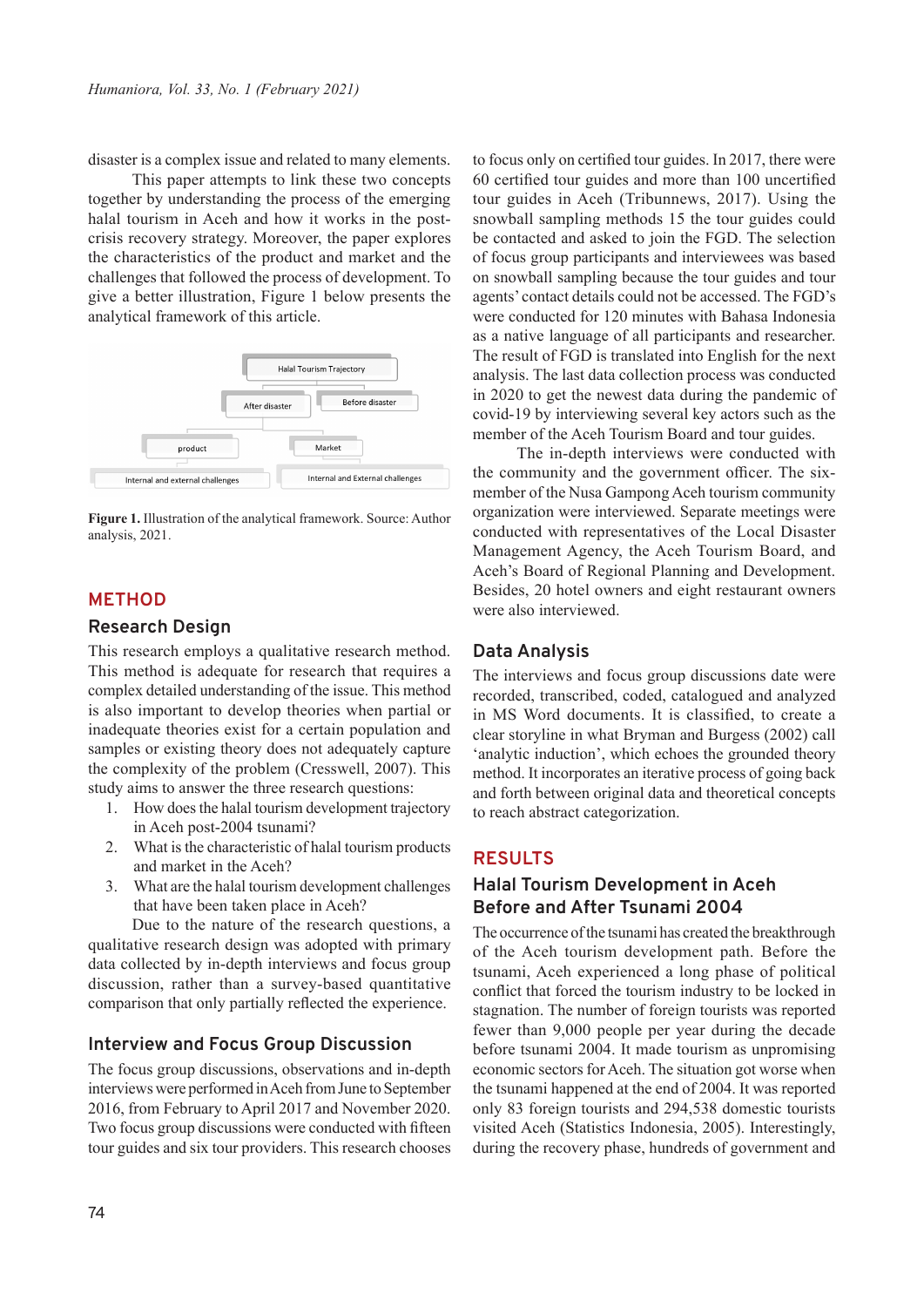disaster is a complex issue and related to many elements.

This paper attempts to link these two concepts together by understanding the process of the emerging halal tourism in Aceh and how it works in the postcrisis recovery strategy. Moreover, the paper explores the characteristics of the product and market and the challenges that followed the process of development. To give a better illustration, Figure 1 below presents the analytical framework of this article.



**Figure 1.** Illustration of the analytical framework. Source: Author analysis, 2021.

## **METHOD**

#### **Research Design**

This research employs a qualitative research method. This method is adequate for research that requires a complex detailed understanding of the issue. This method is also important to develop theories when partial or inadequate theories exist for a certain population and samples or existing theory does not adequately capture the complexity of the problem (Cresswell, 2007). This study aims to answer the three research questions:

- 1. How does the halal tourism development trajectory in Aceh post-2004 tsunami?
- 2. What is the characteristic of halal tourism products and market in the Aceh?
- 3. What are the halal tourism development challenges that have been taken place in Aceh?

Due to the nature of the research questions, a qualitative research design was adopted with primary data collected by in-depth interviews and focus group discussion, rather than a survey-based quantitative comparison that only partially reflected the experience.

#### **Interview and Focus Group Discussion**

The focus group discussions, observations and in-depth interviews were performed in Aceh from June to September 2016, from February to April 2017 and November 2020. Two focus group discussions were conducted with fifteen tour guides and six tour providers. This research chooses

to focus only on certified tour guides. In 2017, there were 60 certified tour guides and more than 100 uncertified tour guides in Aceh (Tribunnews, 2017). Using the snowball sampling methods 15 the tour guides could be contacted and asked to join the FGD. The selection of focus group participants and interviewees was based on snowball sampling because the tour guides and tour agents' contact details could not be accessed. The FGD's were conducted for 120 minutes with Bahasa Indonesia as a native language of all participants and researcher. The result of FGD is translated into English for the next analysis. The last data collection process was conducted in 2020 to get the newest data during the pandemic of covid-19 by interviewing several key actors such as the member of the Aceh Tourism Board and tour guides.

The in-depth interviews were conducted with the community and the government officer. The sixmember of the Nusa Gampong Aceh tourism community organization were interviewed. Separate meetings were conducted with representatives of the Local Disaster Management Agency, the Aceh Tourism Board, and Aceh's Board of Regional Planning and Development. Besides, 20 hotel owners and eight restaurant owners were also interviewed.

#### **Data Analysis**

The interviews and focus group discussions date were recorded, transcribed, coded, catalogued and analyzed in MS Word documents. It is classified, to create a clear storyline in what Bryman and Burgess (2002) call 'analytic induction', which echoes the grounded theory method. It incorporates an iterative process of going back and forth between original data and theoretical concepts to reach abstract categorization.

# **RESULTS**

# **Halal Tourism Development in Aceh Before and After Tsunami 2004**

The occurrence of the tsunami has created the breakthrough of the Aceh tourism development path. Before the tsunami, Aceh experienced a long phase of political conflict that forced the tourism industry to be locked in stagnation. The number of foreign tourists was reported fewer than 9,000 people per year during the decade before tsunami 2004. It made tourism as unpromising economic sectors for Aceh. The situation got worse when the tsunami happened at the end of 2004. It was reported only 83 foreign tourists and 294,538 domestic tourists visited Aceh (Statistics Indonesia, 2005). Interestingly, during the recovery phase, hundreds of government and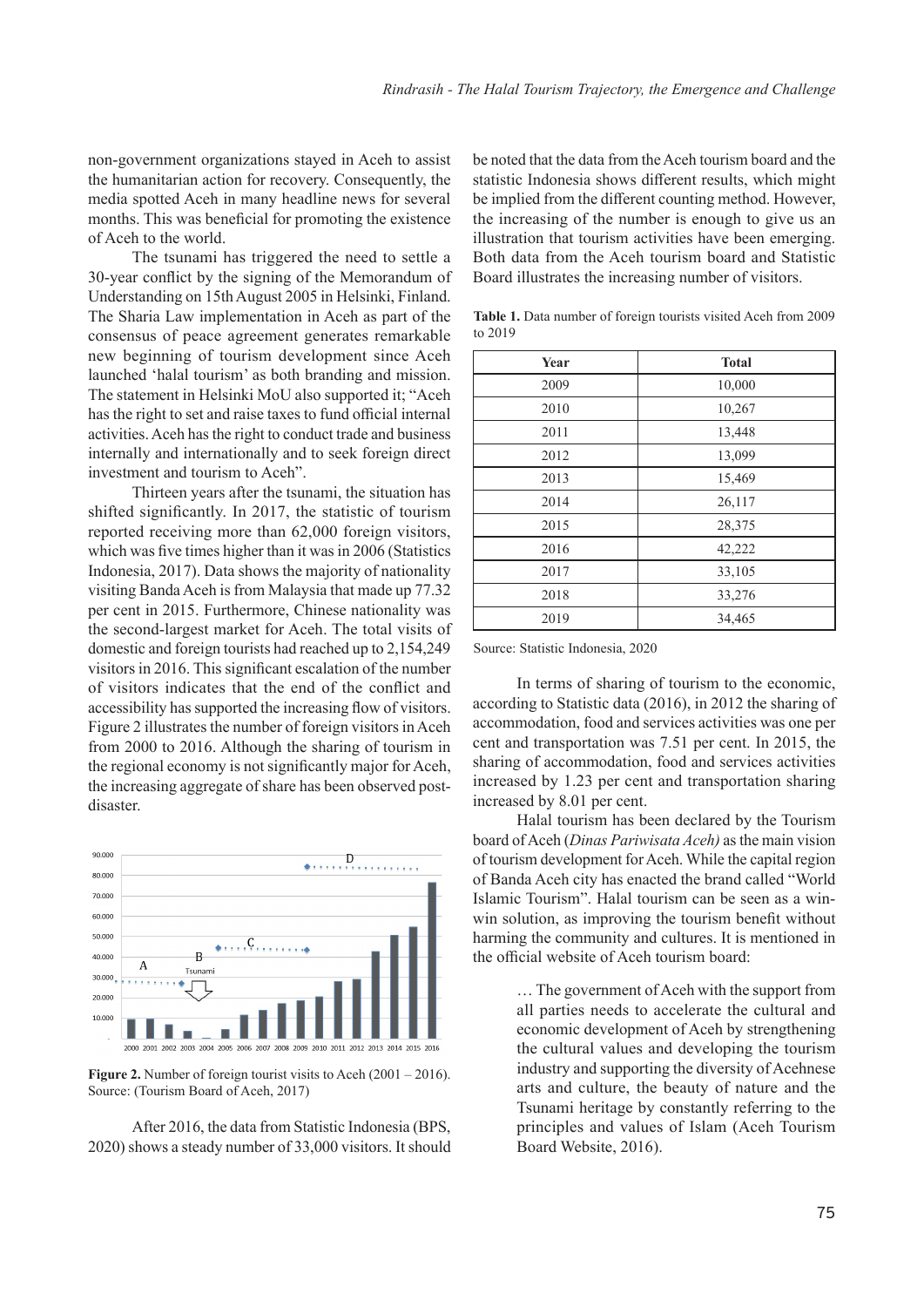non-government organizations stayed in Aceh to assist the humanitarian action for recovery. Consequently, the media spotted Aceh in many headline news for several months. This was beneficial for promoting the existence of Aceh to the world.

The tsunami has triggered the need to settle a 30-year conflict by the signing of the Memorandum of Understanding on 15th August 2005 in Helsinki, Finland. The Sharia Law implementation in Aceh as part of the consensus of peace agreement generates remarkable new beginning of tourism development since Aceh launched 'halal tourism' as both branding and mission. The statement in Helsinki MoU also supported it; "Aceh has the right to set and raise taxes to fund official internal activities. Aceh has the right to conduct trade and business internally and internationally and to seek foreign direct investment and tourism to Aceh".

Thirteen years after the tsunami, the situation has shifted significantly. In 2017, the statistic of tourism reported receiving more than 62,000 foreign visitors, which was five times higher than it was in 2006 (Statistics Indonesia, 2017). Data shows the majority of nationality visiting Banda Aceh is from Malaysia that made up 77.32 per cent in 2015. Furthermore, Chinese nationality was the second-largest market for Aceh. The total visits of domestic and foreign tourists had reached up to 2,154,249 visitors in 2016. This significant escalation of the number of visitors indicates that the end of the conflict and accessibility has supported the increasing flow of visitors. Figure 2 illustrates the number of foreign visitors in Aceh from 2000 to 2016. Although the sharing of tourism in the regional economy is not significantly major for Aceh, the increasing aggregate of share has been observed postdisaster.



**Figure 2.** Number of foreign tourist visits to Aceh (2001 – 2016). Source: (Tourism Board of Aceh, 2017)

After 2016, the data from Statistic Indonesia (BPS, 2020) shows a steady number of 33,000 visitors. It should be noted that the data from the Aceh tourism board and the statistic Indonesia shows different results, which might be implied from the different counting method. However, the increasing of the number is enough to give us an illustration that tourism activities have been emerging. Both data from the Aceh tourism board and Statistic Board illustrates the increasing number of visitors.

| <b>Year</b> | <b>Total</b> |
|-------------|--------------|
| 2009        | 10,000       |
| 2010        | 10,267       |
| 2011        | 13,448       |
| 2012        | 13,099       |
| 2013        | 15,469       |
| 2014        | 26,117       |
| 2015        | 28,375       |
| 2016        | 42,222       |
| 2017        | 33,105       |
| 2018        | 33,276       |
| 2019        | 34,465       |

**Table 1.** Data number of foreign tourists visited Aceh from 2009 to 2019

Source: Statistic Indonesia, 2020

In terms of sharing of tourism to the economic, according to Statistic data (2016), in 2012 the sharing of accommodation, food and services activities was one per cent and transportation was 7.51 per cent. In 2015, the sharing of accommodation, food and services activities increased by 1.23 per cent and transportation sharing increased by 8.01 per cent.

Halal tourism has been declared by the Tourism board of Aceh (*Dinas Pariwisata Aceh)* as the main vision of tourism development for Aceh. While the capital region of Banda Aceh city has enacted the brand called "World Islamic Tourism". Halal tourism can be seen as a winwin solution, as improving the tourism benefit without harming the community and cultures. It is mentioned in the official website of Aceh tourism board:

> … The government of Aceh with the support from all parties needs to accelerate the cultural and economic development of Aceh by strengthening the cultural values and developing the tourism industry and supporting the diversity of Acehnese arts and culture, the beauty of nature and the Tsunami heritage by constantly referring to the principles and values of Islam (Aceh Tourism Board Website, 2016).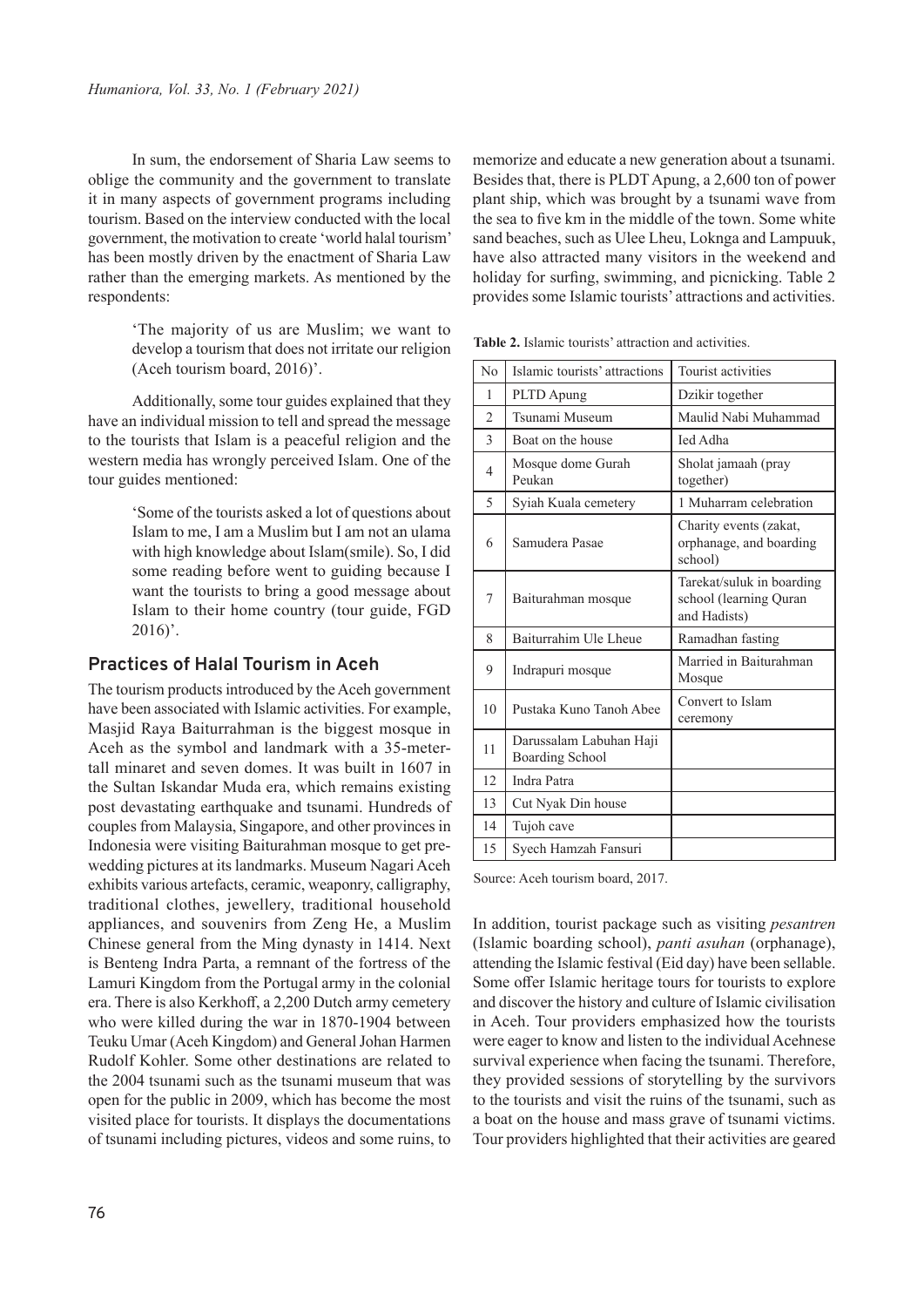In sum, the endorsement of Sharia Law seems to oblige the community and the government to translate it in many aspects of government programs including tourism. Based on the interview conducted with the local government, the motivation to create 'world halal tourism' has been mostly driven by the enactment of Sharia Law rather than the emerging markets. As mentioned by the respondents:

> 'The majority of us are Muslim; we want to develop a tourism that does not irritate our religion (Aceh tourism board, 2016)'.

Additionally, some tour guides explained that they have an individual mission to tell and spread the message to the tourists that Islam is a peaceful religion and the western media has wrongly perceived Islam. One of the tour guides mentioned:

> 'Some of the tourists asked a lot of questions about Islam to me, I am a Muslim but I am not an ulama with high knowledge about Islam(smile). So, I did some reading before went to guiding because I want the tourists to bring a good message about Islam to their home country (tour guide, FGD  $2016$ .

## **Practices of Halal Tourism in Aceh**

The tourism products introduced by the Aceh government have been associated with Islamic activities. For example, Masjid Raya Baiturrahman is the biggest mosque in Aceh as the symbol and landmark with a 35-metertall minaret and seven domes. It was built in 1607 in the Sultan Iskandar Muda era, which remains existing post devastating earthquake and tsunami. Hundreds of couples from Malaysia, Singapore, and other provinces in Indonesia were visiting Baiturahman mosque to get prewedding pictures at its landmarks. Museum Nagari Aceh exhibits various artefacts, ceramic, weaponry, calligraphy, traditional clothes, jewellery, traditional household appliances, and souvenirs from Zeng He, a Muslim Chinese general from the Ming dynasty in 1414. Next is Benteng Indra Parta, a remnant of the fortress of the Lamuri Kingdom from the Portugal army in the colonial era. There is also Kerkhoff, a 2,200 Dutch army cemetery who were killed during the war in 1870-1904 between Teuku Umar (Aceh Kingdom) and General Johan Harmen Rudolf Kohler. Some other destinations are related to the 2004 tsunami such as the tsunami museum that was open for the public in 2009, which has become the most visited place for tourists. It displays the documentations of tsunami including pictures, videos and some ruins, to

memorize and educate a new generation about a tsunami. Besides that, there is PLDT Apung, a 2,600 ton of power plant ship, which was brought by a tsunami wave from the sea to five km in the middle of the town. Some white sand beaches, such as Ulee Lheu, Loknga and Lampuuk, have also attracted many visitors in the weekend and holiday for surfing, swimming, and picnicking. Table 2 provides some Islamic tourists' attractions and activities.

| No             | Islamic tourists' attractions                     | <b>Tourist activities</b>                                           |
|----------------|---------------------------------------------------|---------------------------------------------------------------------|
| 1              | PLTD Apung                                        | Dzikir together                                                     |
| $\mathfrak{D}$ | Tsunami Museum                                    | Maulid Nabi Muhammad                                                |
| 3              | Boat on the house                                 | <b>Ied Adha</b>                                                     |
| 4              | Mosque dome Gurah<br>Peukan                       | Sholat jamaah (pray<br>together)                                    |
| 5              | Syiah Kuala cemetery                              | 1 Muharram celebration                                              |
| 6              | Samudera Pasae                                    | Charity events (zakat,<br>orphanage, and boarding<br>school)        |
| 7              | Baiturahman mosque                                | Tarekat/suluk in boarding<br>school (learning Quran<br>and Hadists) |
| 8              | Baiturrahim Ule Lheue                             | Ramadhan fasting                                                    |
| 9              | Indrapuri mosque                                  | Married in Baiturahman<br>Mosque                                    |
| 10             | Pustaka Kuno Tanoh Abee                           | Convert to Islam<br>ceremony                                        |
| 11             | Darussalam Labuhan Haji<br><b>Boarding School</b> |                                                                     |
| 12             | <b>Indra Patra</b>                                |                                                                     |
| 13             | Cut Nyak Din house                                |                                                                     |
| 14             | Tujoh cave                                        |                                                                     |
| 15             | Syech Hamzah Fansuri                              |                                                                     |

Source: Aceh tourism board, 2017.

In addition, tourist package such as visiting *pesantren* (Islamic boarding school), *panti asuhan* (orphanage), attending the Islamic festival (Eid day) have been sellable. Some offer Islamic heritage tours for tourists to explore and discover the history and culture of Islamic civilisation in Aceh. Tour providers emphasized how the tourists were eager to know and listen to the individual Acehnese survival experience when facing the tsunami. Therefore, they provided sessions of storytelling by the survivors to the tourists and visit the ruins of the tsunami, such as a boat on the house and mass grave of tsunami victims. Tour providers highlighted that their activities are geared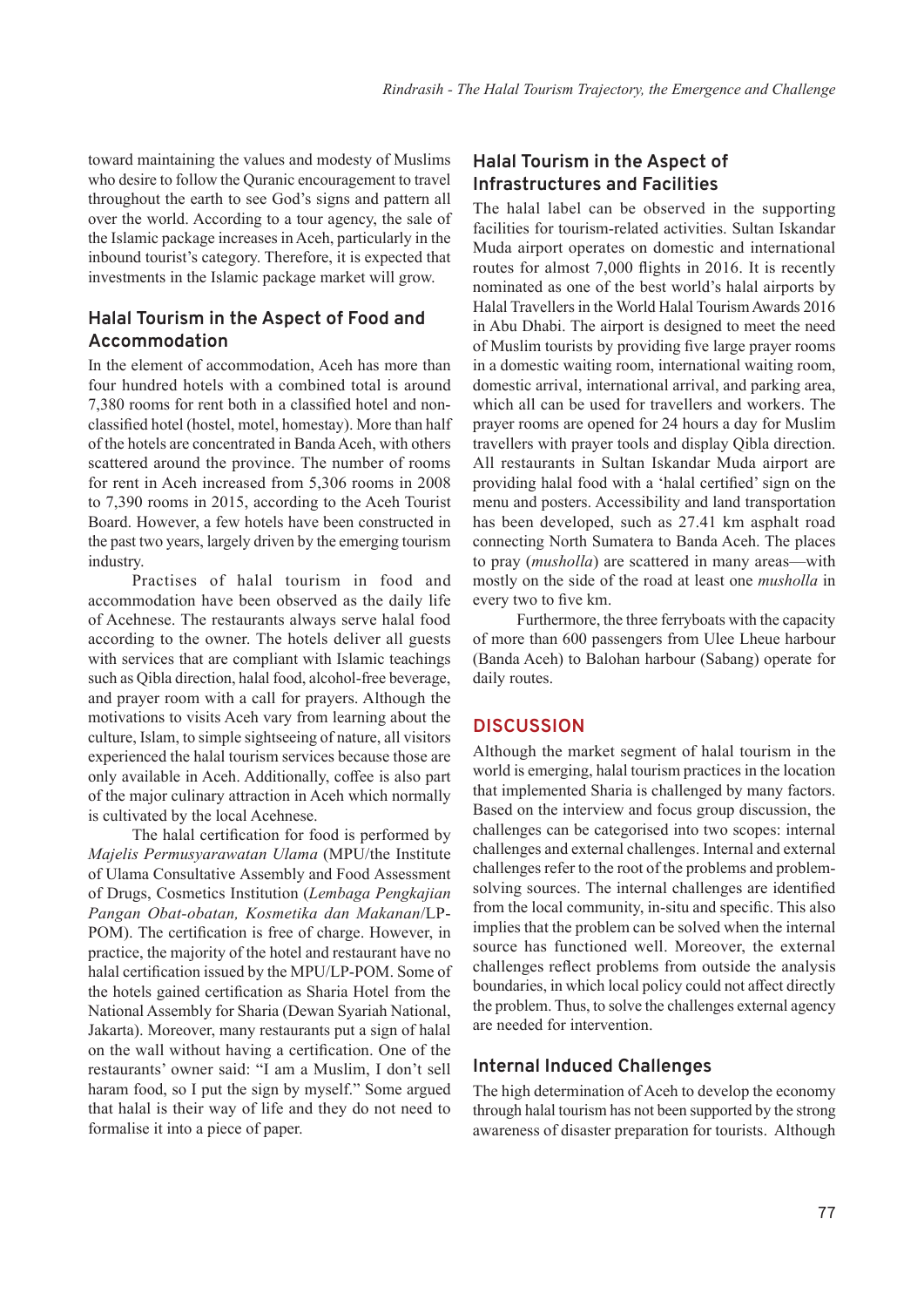toward maintaining the values and modesty of Muslims who desire to follow the Quranic encouragement to travel throughout the earth to see God's signs and pattern all over the world. According to a tour agency, the sale of the Islamic package increases in Aceh, particularly in the inbound tourist's category. Therefore, it is expected that investments in the Islamic package market will grow.

# **Halal Tourism in the Aspect of Food and Accommodation**

In the element of accommodation, Aceh has more than four hundred hotels with a combined total is around 7,380 rooms for rent both in a classified hotel and nonclassified hotel (hostel, motel, homestay). More than half of the hotels are concentrated in Banda Aceh, with others scattered around the province. The number of rooms for rent in Aceh increased from 5,306 rooms in 2008 to 7,390 rooms in 2015, according to the Aceh Tourist Board. However, a few hotels have been constructed in the past two years, largely driven by the emerging tourism industry.

Practises of halal tourism in food and accommodation have been observed as the daily life of Acehnese. The restaurants always serve halal food according to the owner. The hotels deliver all guests with services that are compliant with Islamic teachings such as Qibla direction, halal food, alcohol-free beverage, and prayer room with a call for prayers. Although the motivations to visits Aceh vary from learning about the culture, Islam, to simple sightseeing of nature, all visitors experienced the halal tourism services because those are only available in Aceh. Additionally, coffee is also part of the major culinary attraction in Aceh which normally is cultivated by the local Acehnese.

The halal certification for food is performed by *Majelis Permusyarawatan Ulama* (MPU/the Institute of Ulama Consultative Assembly and Food Assessment of Drugs, Cosmetics Institution (*Lembaga Pengkajian Pangan Obat-obatan, Kosmetika dan Makanan*/LP-POM). The certification is free of charge. However, in practice, the majority of the hotel and restaurant have no halal certification issued by the MPU/LP-POM. Some of the hotels gained certification as Sharia Hotel from the National Assembly for Sharia (Dewan Syariah National, Jakarta). Moreover, many restaurants put a sign of halal on the wall without having a certification. One of the restaurants' owner said: "I am a Muslim, I don't sell haram food, so I put the sign by myself." Some argued that halal is their way of life and they do not need to formalise it into a piece of paper.

# **Halal Tourism in the Aspect of Infrastructures and Facilities**

The halal label can be observed in the supporting facilities for tourism-related activities. Sultan Iskandar Muda airport operates on domestic and international routes for almost 7,000 flights in 2016. It is recently nominated as one of the best world's halal airports by Halal Travellers in the World Halal Tourism Awards 2016 in Abu Dhabi. The airport is designed to meet the need of Muslim tourists by providing five large prayer rooms in a domestic waiting room, international waiting room, domestic arrival, international arrival, and parking area, which all can be used for travellers and workers. The prayer rooms are opened for 24 hours a day for Muslim travellers with prayer tools and display Qibla direction. All restaurants in Sultan Iskandar Muda airport are providing halal food with a 'halal certified' sign on the menu and posters. Accessibility and land transportation has been developed, such as 27.41 km asphalt road connecting North Sumatera to Banda Aceh. The places to pray (*musholla*) are scattered in many areas—with mostly on the side of the road at least one *musholla* in every two to five km.

Furthermore, the three ferryboats with the capacity of more than 600 passengers from Ulee Lheue harbour (Banda Aceh) to Balohan harbour (Sabang) operate for daily routes.

# **DISCUSSION**

Although the market segment of halal tourism in the world is emerging, halal tourism practices in the location that implemented Sharia is challenged by many factors. Based on the interview and focus group discussion, the challenges can be categorised into two scopes: internal challenges and external challenges. Internal and external challenges refer to the root of the problems and problemsolving sources. The internal challenges are identified from the local community, in-situ and specific. This also implies that the problem can be solved when the internal source has functioned well. Moreover, the external challenges reflect problems from outside the analysis boundaries, in which local policy could not affect directly the problem. Thus, to solve the challenges external agency are needed for intervention.

# **Internal Induced Challenges**

The high determination of Aceh to develop the economy through halal tourism has not been supported by the strong awareness of disaster preparation for tourists. Although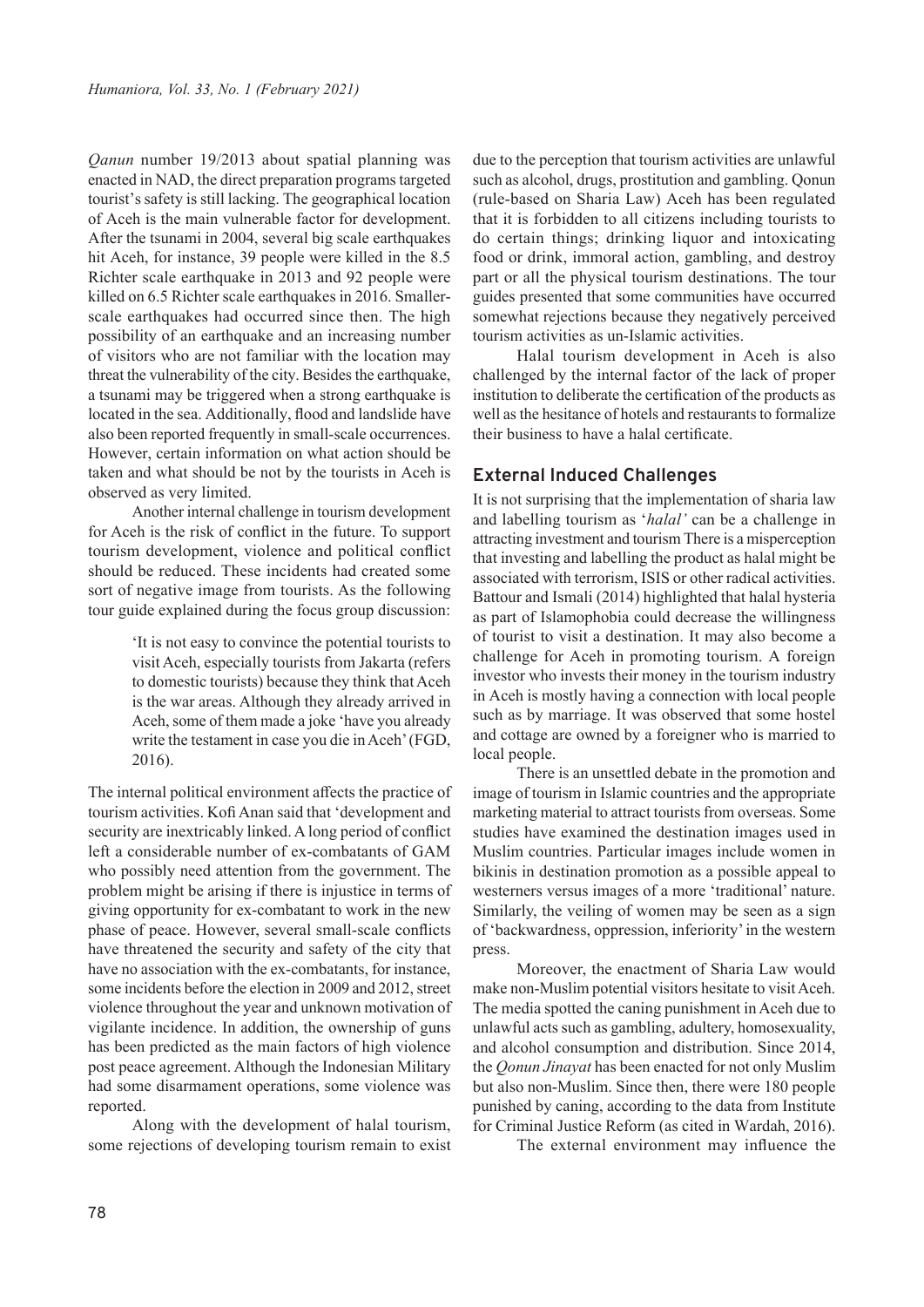*Qanun* number 19/2013 about spatial planning was enacted in NAD, the direct preparation programs targeted tourist's safety is still lacking. The geographical location of Aceh is the main vulnerable factor for development. After the tsunami in 2004, several big scale earthquakes hit Aceh, for instance, 39 people were killed in the 8.5 Richter scale earthquake in 2013 and 92 people were killed on 6.5 Richter scale earthquakes in 2016. Smallerscale earthquakes had occurred since then. The high possibility of an earthquake and an increasing number of visitors who are not familiar with the location may threat the vulnerability of the city. Besides the earthquake, a tsunami may be triggered when a strong earthquake is located in the sea. Additionally, flood and landslide have also been reported frequently in small-scale occurrences. However, certain information on what action should be taken and what should be not by the tourists in Aceh is observed as very limited.

Another internal challenge in tourism development for Aceh is the risk of conflict in the future. To support tourism development, violence and political conflict should be reduced. These incidents had created some sort of negative image from tourists. As the following tour guide explained during the focus group discussion:

> 'It is not easy to convince the potential tourists to visit Aceh, especially tourists from Jakarta (refers to domestic tourists) because they think that Aceh is the war areas. Although they already arrived in Aceh, some of them made a joke 'have you already write the testament in case you die in Aceh' (FGD, 2016).

The internal political environment affects the practice of tourism activities. Kofi Anan said that 'development and security are inextricably linked. A long period of conflict left a considerable number of ex-combatants of GAM who possibly need attention from the government. The problem might be arising if there is injustice in terms of giving opportunity for ex-combatant to work in the new phase of peace. However, several small-scale conflicts have threatened the security and safety of the city that have no association with the ex-combatants, for instance, some incidents before the election in 2009 and 2012, street violence throughout the year and unknown motivation of vigilante incidence. In addition, the ownership of guns has been predicted as the main factors of high violence post peace agreement. Although the Indonesian Military had some disarmament operations, some violence was reported.

Along with the development of halal tourism, some rejections of developing tourism remain to exist

due to the perception that tourism activities are unlawful such as alcohol, drugs, prostitution and gambling. Qonun (rule-based on Sharia Law) Aceh has been regulated that it is forbidden to all citizens including tourists to do certain things; drinking liquor and intoxicating food or drink, immoral action, gambling, and destroy part or all the physical tourism destinations. The tour guides presented that some communities have occurred somewhat rejections because they negatively perceived tourism activities as un-Islamic activities.

Halal tourism development in Aceh is also challenged by the internal factor of the lack of proper institution to deliberate the certification of the products as well as the hesitance of hotels and restaurants to formalize their business to have a halal certificate.

## **External Induced Challenges**

It is not surprising that the implementation of sharia law and labelling tourism as '*halal'* can be a challenge in attracting investment and tourism There is a misperception that investing and labelling the product as halal might be associated with terrorism, ISIS or other radical activities. Battour and Ismali (2014) highlighted that halal hysteria as part of Islamophobia could decrease the willingness of tourist to visit a destination. It may also become a challenge for Aceh in promoting tourism. A foreign investor who invests their money in the tourism industry in Aceh is mostly having a connection with local people such as by marriage. It was observed that some hostel and cottage are owned by a foreigner who is married to local people.

There is an unsettled debate in the promotion and image of tourism in Islamic countries and the appropriate marketing material to attract tourists from overseas. Some studies have examined the destination images used in Muslim countries. Particular images include women in bikinis in destination promotion as a possible appeal to westerners versus images of a more 'traditional' nature. Similarly, the veiling of women may be seen as a sign of 'backwardness, oppression, inferiority' in the western press.

Moreover, the enactment of Sharia Law would make non-Muslim potential visitors hesitate to visit Aceh. The media spotted the caning punishment in Aceh due to unlawful acts such as gambling, adultery, homosexuality, and alcohol consumption and distribution. Since 2014, the *Qonun Jinayat* has been enacted for not only Muslim but also non-Muslim. Since then, there were 180 people punished by caning, according to the data from Institute for Criminal Justice Reform (as cited in Wardah, 2016).

The external environment may influence the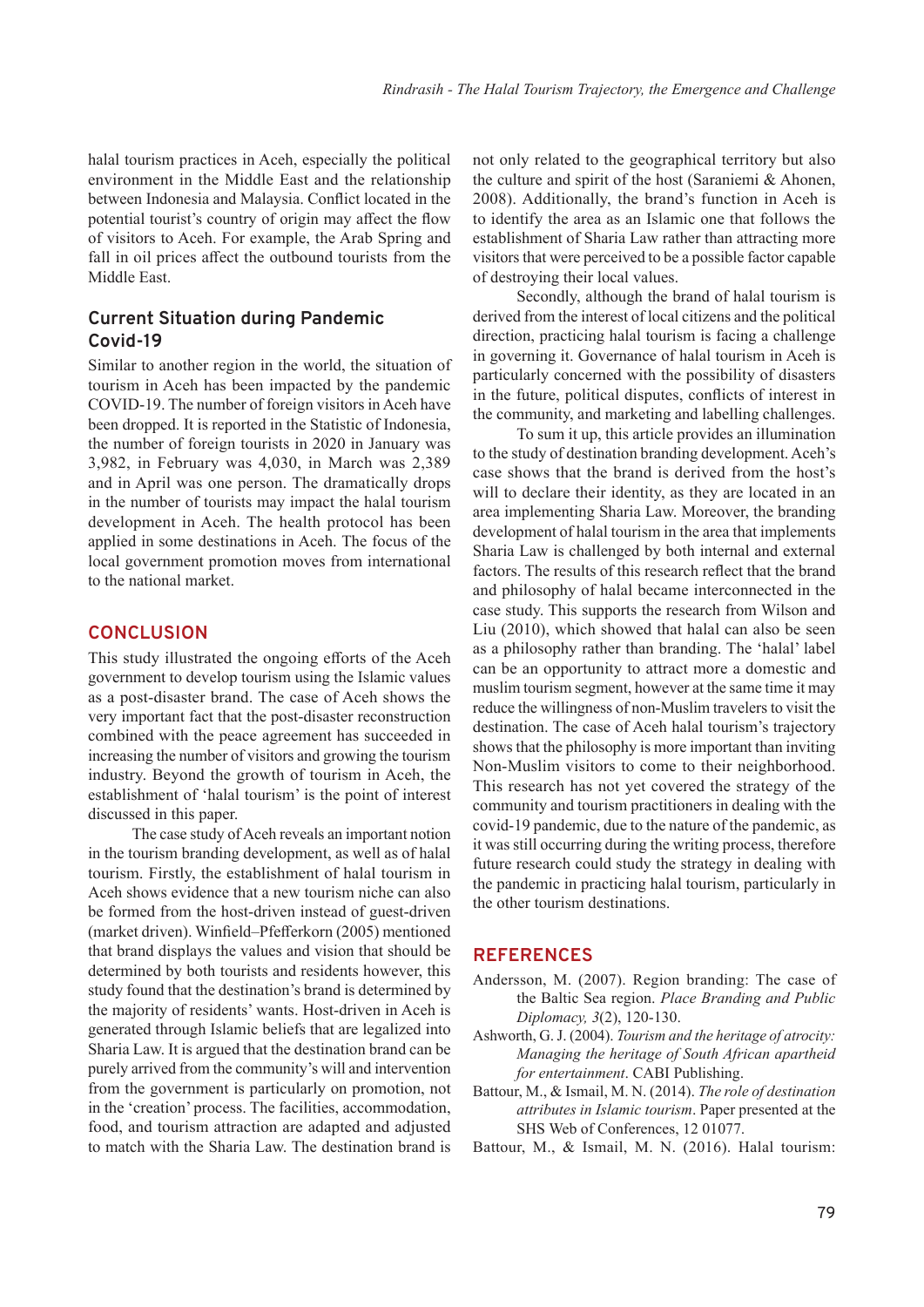halal tourism practices in Aceh, especially the political environment in the Middle East and the relationship between Indonesia and Malaysia. Conflict located in the potential tourist's country of origin may affect the flow of visitors to Aceh. For example, the Arab Spring and fall in oil prices affect the outbound tourists from the Middle East.

# **Current Situation during Pandemic Covid-19**

Similar to another region in the world, the situation of tourism in Aceh has been impacted by the pandemic COVID-19. The number of foreign visitors in Aceh have been dropped. It is reported in the Statistic of Indonesia, the number of foreign tourists in 2020 in January was 3,982, in February was 4,030, in March was 2,389 and in April was one person. The dramatically drops in the number of tourists may impact the halal tourism development in Aceh. The health protocol has been applied in some destinations in Aceh. The focus of the local government promotion moves from international to the national market.

#### **CONCLUSION**

This study illustrated the ongoing efforts of the Aceh government to develop tourism using the Islamic values as a post-disaster brand. The case of Aceh shows the very important fact that the post-disaster reconstruction combined with the peace agreement has succeeded in increasing the number of visitors and growing the tourism industry. Beyond the growth of tourism in Aceh, the establishment of 'halal tourism' is the point of interest discussed in this paper.

The case study of Aceh reveals an important notion in the tourism branding development, as well as of halal tourism. Firstly, the establishment of halal tourism in Aceh shows evidence that a new tourism niche can also be formed from the host-driven instead of guest-driven (market driven). Winfield–Pfefferkorn (2005) mentioned that brand displays the values and vision that should be determined by both tourists and residents however, this study found that the destination's brand is determined by the majority of residents' wants. Host-driven in Aceh is generated through Islamic beliefs that are legalized into Sharia Law. It is argued that the destination brand can be purely arrived from the community's will and intervention from the government is particularly on promotion, not in the 'creation' process. The facilities, accommodation, food, and tourism attraction are adapted and adjusted to match with the Sharia Law. The destination brand is

not only related to the geographical territory but also the culture and spirit of the host (Saraniemi & Ahonen, 2008). Additionally, the brand's function in Aceh is to identify the area as an Islamic one that follows the establishment of Sharia Law rather than attracting more visitors that were perceived to be a possible factor capable of destroying their local values.

Secondly, although the brand of halal tourism is derived from the interest of local citizens and the political direction, practicing halal tourism is facing a challenge in governing it. Governance of halal tourism in Aceh is particularly concerned with the possibility of disasters in the future, political disputes, conflicts of interest in the community, and marketing and labelling challenges.

To sum it up, this article provides an illumination to the study of destination branding development. Aceh's case shows that the brand is derived from the host's will to declare their identity, as they are located in an area implementing Sharia Law. Moreover, the branding development of halal tourism in the area that implements Sharia Law is challenged by both internal and external factors. The results of this research reflect that the brand and philosophy of halal became interconnected in the case study. This supports the research from Wilson and Liu (2010), which showed that halal can also be seen as a philosophy rather than branding. The 'halal' label can be an opportunity to attract more a domestic and muslim tourism segment, however at the same time it may reduce the willingness of non-Muslim travelers to visit the destination. The case of Aceh halal tourism's trajectory shows that the philosophy is more important than inviting Non-Muslim visitors to come to their neighborhood. This research has not yet covered the strategy of the community and tourism practitioners in dealing with the covid-19 pandemic, due to the nature of the pandemic, as it was still occurring during the writing process, therefore future research could study the strategy in dealing with the pandemic in practicing halal tourism, particularly in the other tourism destinations.

#### **REFERENCES**

- Andersson, M. (2007). Region branding: The case of the Baltic Sea region. *Place Branding and Public Diplomacy, 3*(2), 120-130.
- Ashworth, G. J. (2004). *Tourism and the heritage of atrocity: Managing the heritage of South African apartheid for entertainment*. CABI Publishing.
- Battour, M., & Ismail, M. N. (2014). *The role of destination attributes in Islamic tourism*. Paper presented at the SHS Web of Conferences, 12 01077.

Battour, M., & Ismail, M. N. (2016). Halal tourism: